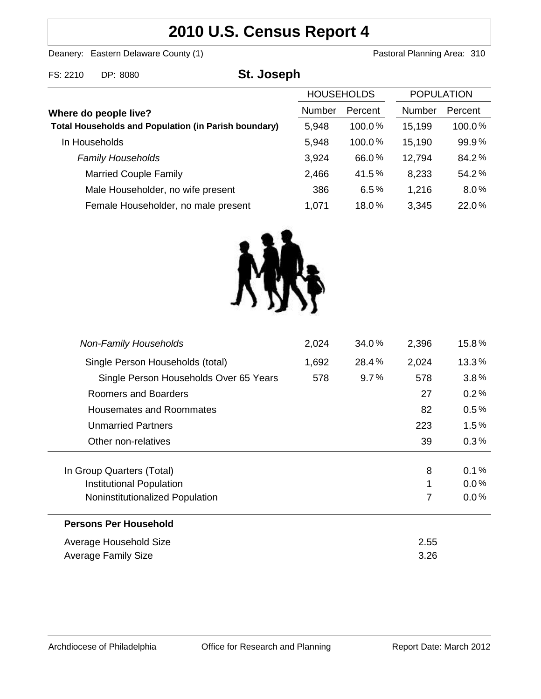# **2010 U.S. Census Report 4**

Deanery: Eastern Delaware County (1) Deanery: Eastern Delaware County (1)

| FS: 2210                                                                             | DP: 8080                            | St. Joseph |                   |         |                   |         |
|--------------------------------------------------------------------------------------|-------------------------------------|------------|-------------------|---------|-------------------|---------|
|                                                                                      |                                     |            | <b>HOUSEHOLDS</b> |         | <b>POPULATION</b> |         |
| Where do people live?<br><b>Total Households and Population (in Parish boundary)</b> |                                     |            | Number            | Percent | Number            | Percent |
|                                                                                      |                                     |            | 5,948             | 100.0%  | 15,199            | 100.0%  |
| In Households                                                                        |                                     |            | 5,948             | 100.0%  | 15,190            | 99.9%   |
|                                                                                      | <b>Family Households</b>            |            | 3,924             | 66.0%   | 12,794            | 84.2%   |
|                                                                                      | <b>Married Couple Family</b>        |            | 2,466             | 41.5%   | 8,233             | 54.2%   |
|                                                                                      | Male Householder, no wife present   |            | 386               | 6.5%    | 1,216             | 8.0%    |
|                                                                                      | Female Householder, no male present |            | 1,071             | 18.0%   | 3,345             | 22.0%   |



| <b>Non-Family Households</b>           | 2,024 | 34.0%   | 2,396          | 15.8%   |
|----------------------------------------|-------|---------|----------------|---------|
| Single Person Households (total)       | 1,692 | 28.4%   | 2,024          | 13.3%   |
| Single Person Households Over 65 Years | 578   | $9.7\%$ | 578            | 3.8%    |
| Roomers and Boarders                   |       |         | 27             | 0.2%    |
| Housemates and Roommates               |       |         | 82             | $0.5\%$ |
| <b>Unmarried Partners</b>              |       |         | 223            | $1.5\%$ |
| Other non-relatives                    |       |         | 39             | $0.3\%$ |
|                                        |       |         |                |         |
| In Group Quarters (Total)              |       |         | 8              | 0.1%    |
| Institutional Population               |       |         | 1              | $0.0\%$ |
| Noninstitutionalized Population        |       |         | $\overline{7}$ | $0.0\%$ |
| <b>Persons Per Household</b>           |       |         |                |         |
| Average Household Size                 |       |         | 2.55           |         |
| Average Family Size                    |       |         | 3.26           |         |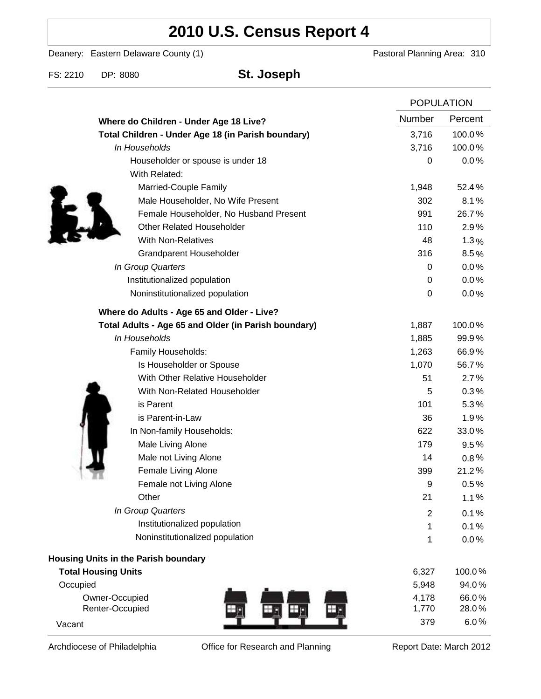# **2010 U.S. Census Report 4**

Deanery: Eastern Delaware County (1) Deanery: Eastern Delaware County (1)

FS: 2210 DP: 8080 **St. Joseph**

| Number<br>Percent<br>Where do Children - Under Age 18 Live?<br>3,716<br>100.0%<br>Total Children - Under Age 18 (in Parish boundary)<br>100.0%<br>In Households<br>3,716<br>0.0%<br>0<br>Householder or spouse is under 18<br>With Related:<br>Married-Couple Family<br>1,948<br>52.4%<br>302<br>8.1%<br>Male Householder, No Wife Present<br>Female Householder, No Husband Present<br>991<br>26.7%<br><b>Other Related Householder</b><br>110<br>2.9%<br><b>With Non-Relatives</b><br>48<br>1.3%<br>316<br>8.5%<br><b>Grandparent Householder</b><br>In Group Quarters<br>0.0%<br>0<br>Institutionalized population<br>0.0%<br>0<br>Noninstitutionalized population<br>0<br>0.0%<br>Where do Adults - Age 65 and Older - Live?<br>1,887<br>100.0%<br>Total Adults - Age 65 and Older (in Parish boundary)<br>In Households<br>1,885<br>99.9%<br>Family Households:<br>1,263<br>66.9%<br>Is Householder or Spouse<br>1,070<br>56.7%<br>With Other Relative Householder<br>2.7%<br>51<br>With Non-Related Householder<br>0.3%<br>5<br>is Parent<br>101<br>5.3%<br>is Parent-in-Law<br>36<br>1.9%<br>In Non-family Households:<br>622<br>33.0%<br>Male Living Alone<br>179<br>9.5%<br>Male not Living Alone<br>14<br>$0.8\%$<br>Female Living Alone<br>399<br>21.2%<br>Female not Living Alone<br>9<br>0.5%<br>Other<br>21<br>1.1%<br>In Group Quarters<br>2<br>0.1%<br>Institutionalized population<br>0.1%<br>1<br>Noninstitutionalized population<br>1<br>0.0%<br>Housing Units in the Parish boundary<br>6,327<br><b>Total Housing Units</b><br>100.0%<br>Occupied<br>5,948<br>94.0%<br>Owner-Occupied<br>66.0%<br>4,178<br>Renter-Occupied<br>28.0%<br>1,770<br>6.0%<br>379<br>Vacant |  | <b>POPULATION</b> |  |
|-------------------------------------------------------------------------------------------------------------------------------------------------------------------------------------------------------------------------------------------------------------------------------------------------------------------------------------------------------------------------------------------------------------------------------------------------------------------------------------------------------------------------------------------------------------------------------------------------------------------------------------------------------------------------------------------------------------------------------------------------------------------------------------------------------------------------------------------------------------------------------------------------------------------------------------------------------------------------------------------------------------------------------------------------------------------------------------------------------------------------------------------------------------------------------------------------------------------------------------------------------------------------------------------------------------------------------------------------------------------------------------------------------------------------------------------------------------------------------------------------------------------------------------------------------------------------------------------------------------------------------------------------------------------------------------------|--|-------------------|--|
|                                                                                                                                                                                                                                                                                                                                                                                                                                                                                                                                                                                                                                                                                                                                                                                                                                                                                                                                                                                                                                                                                                                                                                                                                                                                                                                                                                                                                                                                                                                                                                                                                                                                                           |  |                   |  |
|                                                                                                                                                                                                                                                                                                                                                                                                                                                                                                                                                                                                                                                                                                                                                                                                                                                                                                                                                                                                                                                                                                                                                                                                                                                                                                                                                                                                                                                                                                                                                                                                                                                                                           |  |                   |  |
|                                                                                                                                                                                                                                                                                                                                                                                                                                                                                                                                                                                                                                                                                                                                                                                                                                                                                                                                                                                                                                                                                                                                                                                                                                                                                                                                                                                                                                                                                                                                                                                                                                                                                           |  |                   |  |
|                                                                                                                                                                                                                                                                                                                                                                                                                                                                                                                                                                                                                                                                                                                                                                                                                                                                                                                                                                                                                                                                                                                                                                                                                                                                                                                                                                                                                                                                                                                                                                                                                                                                                           |  |                   |  |
|                                                                                                                                                                                                                                                                                                                                                                                                                                                                                                                                                                                                                                                                                                                                                                                                                                                                                                                                                                                                                                                                                                                                                                                                                                                                                                                                                                                                                                                                                                                                                                                                                                                                                           |  |                   |  |
|                                                                                                                                                                                                                                                                                                                                                                                                                                                                                                                                                                                                                                                                                                                                                                                                                                                                                                                                                                                                                                                                                                                                                                                                                                                                                                                                                                                                                                                                                                                                                                                                                                                                                           |  |                   |  |
|                                                                                                                                                                                                                                                                                                                                                                                                                                                                                                                                                                                                                                                                                                                                                                                                                                                                                                                                                                                                                                                                                                                                                                                                                                                                                                                                                                                                                                                                                                                                                                                                                                                                                           |  |                   |  |
|                                                                                                                                                                                                                                                                                                                                                                                                                                                                                                                                                                                                                                                                                                                                                                                                                                                                                                                                                                                                                                                                                                                                                                                                                                                                                                                                                                                                                                                                                                                                                                                                                                                                                           |  |                   |  |
|                                                                                                                                                                                                                                                                                                                                                                                                                                                                                                                                                                                                                                                                                                                                                                                                                                                                                                                                                                                                                                                                                                                                                                                                                                                                                                                                                                                                                                                                                                                                                                                                                                                                                           |  |                   |  |
|                                                                                                                                                                                                                                                                                                                                                                                                                                                                                                                                                                                                                                                                                                                                                                                                                                                                                                                                                                                                                                                                                                                                                                                                                                                                                                                                                                                                                                                                                                                                                                                                                                                                                           |  |                   |  |
|                                                                                                                                                                                                                                                                                                                                                                                                                                                                                                                                                                                                                                                                                                                                                                                                                                                                                                                                                                                                                                                                                                                                                                                                                                                                                                                                                                                                                                                                                                                                                                                                                                                                                           |  |                   |  |
|                                                                                                                                                                                                                                                                                                                                                                                                                                                                                                                                                                                                                                                                                                                                                                                                                                                                                                                                                                                                                                                                                                                                                                                                                                                                                                                                                                                                                                                                                                                                                                                                                                                                                           |  |                   |  |
|                                                                                                                                                                                                                                                                                                                                                                                                                                                                                                                                                                                                                                                                                                                                                                                                                                                                                                                                                                                                                                                                                                                                                                                                                                                                                                                                                                                                                                                                                                                                                                                                                                                                                           |  |                   |  |
|                                                                                                                                                                                                                                                                                                                                                                                                                                                                                                                                                                                                                                                                                                                                                                                                                                                                                                                                                                                                                                                                                                                                                                                                                                                                                                                                                                                                                                                                                                                                                                                                                                                                                           |  |                   |  |
|                                                                                                                                                                                                                                                                                                                                                                                                                                                                                                                                                                                                                                                                                                                                                                                                                                                                                                                                                                                                                                                                                                                                                                                                                                                                                                                                                                                                                                                                                                                                                                                                                                                                                           |  |                   |  |
|                                                                                                                                                                                                                                                                                                                                                                                                                                                                                                                                                                                                                                                                                                                                                                                                                                                                                                                                                                                                                                                                                                                                                                                                                                                                                                                                                                                                                                                                                                                                                                                                                                                                                           |  |                   |  |
|                                                                                                                                                                                                                                                                                                                                                                                                                                                                                                                                                                                                                                                                                                                                                                                                                                                                                                                                                                                                                                                                                                                                                                                                                                                                                                                                                                                                                                                                                                                                                                                                                                                                                           |  |                   |  |
|                                                                                                                                                                                                                                                                                                                                                                                                                                                                                                                                                                                                                                                                                                                                                                                                                                                                                                                                                                                                                                                                                                                                                                                                                                                                                                                                                                                                                                                                                                                                                                                                                                                                                           |  |                   |  |
|                                                                                                                                                                                                                                                                                                                                                                                                                                                                                                                                                                                                                                                                                                                                                                                                                                                                                                                                                                                                                                                                                                                                                                                                                                                                                                                                                                                                                                                                                                                                                                                                                                                                                           |  |                   |  |
|                                                                                                                                                                                                                                                                                                                                                                                                                                                                                                                                                                                                                                                                                                                                                                                                                                                                                                                                                                                                                                                                                                                                                                                                                                                                                                                                                                                                                                                                                                                                                                                                                                                                                           |  |                   |  |
|                                                                                                                                                                                                                                                                                                                                                                                                                                                                                                                                                                                                                                                                                                                                                                                                                                                                                                                                                                                                                                                                                                                                                                                                                                                                                                                                                                                                                                                                                                                                                                                                                                                                                           |  |                   |  |
|                                                                                                                                                                                                                                                                                                                                                                                                                                                                                                                                                                                                                                                                                                                                                                                                                                                                                                                                                                                                                                                                                                                                                                                                                                                                                                                                                                                                                                                                                                                                                                                                                                                                                           |  |                   |  |
|                                                                                                                                                                                                                                                                                                                                                                                                                                                                                                                                                                                                                                                                                                                                                                                                                                                                                                                                                                                                                                                                                                                                                                                                                                                                                                                                                                                                                                                                                                                                                                                                                                                                                           |  |                   |  |
|                                                                                                                                                                                                                                                                                                                                                                                                                                                                                                                                                                                                                                                                                                                                                                                                                                                                                                                                                                                                                                                                                                                                                                                                                                                                                                                                                                                                                                                                                                                                                                                                                                                                                           |  |                   |  |
|                                                                                                                                                                                                                                                                                                                                                                                                                                                                                                                                                                                                                                                                                                                                                                                                                                                                                                                                                                                                                                                                                                                                                                                                                                                                                                                                                                                                                                                                                                                                                                                                                                                                                           |  |                   |  |
|                                                                                                                                                                                                                                                                                                                                                                                                                                                                                                                                                                                                                                                                                                                                                                                                                                                                                                                                                                                                                                                                                                                                                                                                                                                                                                                                                                                                                                                                                                                                                                                                                                                                                           |  |                   |  |
|                                                                                                                                                                                                                                                                                                                                                                                                                                                                                                                                                                                                                                                                                                                                                                                                                                                                                                                                                                                                                                                                                                                                                                                                                                                                                                                                                                                                                                                                                                                                                                                                                                                                                           |  |                   |  |
|                                                                                                                                                                                                                                                                                                                                                                                                                                                                                                                                                                                                                                                                                                                                                                                                                                                                                                                                                                                                                                                                                                                                                                                                                                                                                                                                                                                                                                                                                                                                                                                                                                                                                           |  |                   |  |
|                                                                                                                                                                                                                                                                                                                                                                                                                                                                                                                                                                                                                                                                                                                                                                                                                                                                                                                                                                                                                                                                                                                                                                                                                                                                                                                                                                                                                                                                                                                                                                                                                                                                                           |  |                   |  |
|                                                                                                                                                                                                                                                                                                                                                                                                                                                                                                                                                                                                                                                                                                                                                                                                                                                                                                                                                                                                                                                                                                                                                                                                                                                                                                                                                                                                                                                                                                                                                                                                                                                                                           |  |                   |  |
|                                                                                                                                                                                                                                                                                                                                                                                                                                                                                                                                                                                                                                                                                                                                                                                                                                                                                                                                                                                                                                                                                                                                                                                                                                                                                                                                                                                                                                                                                                                                                                                                                                                                                           |  |                   |  |
|                                                                                                                                                                                                                                                                                                                                                                                                                                                                                                                                                                                                                                                                                                                                                                                                                                                                                                                                                                                                                                                                                                                                                                                                                                                                                                                                                                                                                                                                                                                                                                                                                                                                                           |  |                   |  |
|                                                                                                                                                                                                                                                                                                                                                                                                                                                                                                                                                                                                                                                                                                                                                                                                                                                                                                                                                                                                                                                                                                                                                                                                                                                                                                                                                                                                                                                                                                                                                                                                                                                                                           |  |                   |  |
|                                                                                                                                                                                                                                                                                                                                                                                                                                                                                                                                                                                                                                                                                                                                                                                                                                                                                                                                                                                                                                                                                                                                                                                                                                                                                                                                                                                                                                                                                                                                                                                                                                                                                           |  |                   |  |
|                                                                                                                                                                                                                                                                                                                                                                                                                                                                                                                                                                                                                                                                                                                                                                                                                                                                                                                                                                                                                                                                                                                                                                                                                                                                                                                                                                                                                                                                                                                                                                                                                                                                                           |  |                   |  |
|                                                                                                                                                                                                                                                                                                                                                                                                                                                                                                                                                                                                                                                                                                                                                                                                                                                                                                                                                                                                                                                                                                                                                                                                                                                                                                                                                                                                                                                                                                                                                                                                                                                                                           |  |                   |  |
|                                                                                                                                                                                                                                                                                                                                                                                                                                                                                                                                                                                                                                                                                                                                                                                                                                                                                                                                                                                                                                                                                                                                                                                                                                                                                                                                                                                                                                                                                                                                                                                                                                                                                           |  |                   |  |

Archdiocese of Philadelphia **Office for Research and Planning** Report Date: March 2012